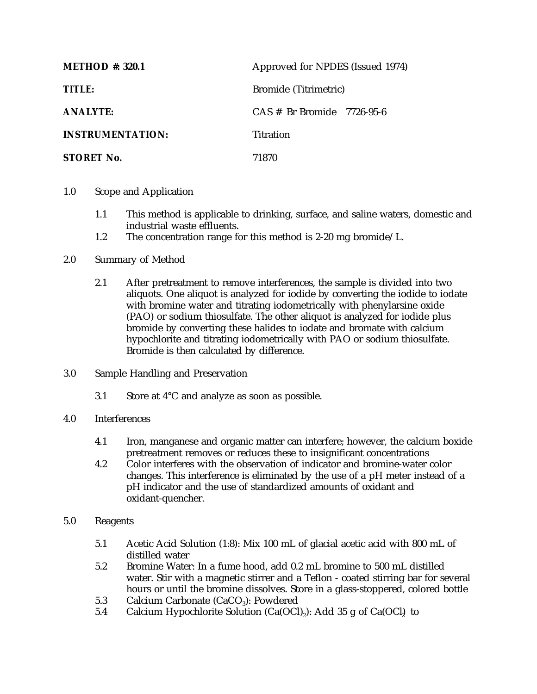| <b>METHOD</b> #: 320.1  | Approved for NPDES (Issued 1974) |
|-------------------------|----------------------------------|
| TITLE:                  | Bromide (Titrimetric)            |
| <b>ANALYTE:</b>         | $CAS \#$ Br Bromide 7726-95-6    |
| <b>INSTRUMENTATION:</b> | Titration                        |
| <b>STORET No.</b>       | 71870                            |

- 1.0 Scope and Application
	- 1.1 This method is applicable to drinking, surface, and saline waters, domestic and industrial waste effluents.
	- 1.2 The concentration range for this method is 2-20 mg bromide/L.
- 2.0 Summary of Method
	- 2.1 After pretreatment to remove interferences, the sample is divided into two aliquots. One aliquot is analyzed for iodide by converting the iodide to iodate with bromine water and titrating iodometrically with phenylarsine oxide (PAO) or sodium thiosulfate. The other aliquot is analyzed for iodide plus bromide by converting these halides to iodate and bromate with calcium hypochlorite and titrating iodometrically with PAO or sodium thiosulfate. Bromide is then calculated by difference.
- 3.0 Sample Handling and Preservation
	- 3.1 Store at 4°C and analyze as soon as possible.
- 4.0 Interferences
	- 4.1 Iron, manganese and organic matter can interfere; however, the calcium boxide pretreatment removes or reduces these to insignificant concentrations
	- 4.2 Color interferes with the observation of indicator and bromine-water color changes. This interference is eliminated by the use of a pH meter instead of a pH indicator and the use of standardized amounts of oxidant and oxidant-quencher.
- 5.0 Reagents
	- 5.1 Acetic Acid Solution (1:8): Mix 100 mL of glacial acetic acid with 800 mL of distilled water
	- 5.2 Bromine Water: In a fume hood, add 0.2 mL bromine to 500 mL distilled water. Stir with a magnetic stirrer and a Teflon - coated stirring bar for several hours or until the bromine dissolves. Store in a glass-stoppered, colored bottle
	- 5.3 Calcium Carbonate (CaCO<sub>3</sub>): Powdered<br>5.4 Calcium Hypochlorite Solution (Ca(OCl
	- Calcium Hypochlorite Solution (Ca(OCl)<sub>2</sub>): Add 35 g of Ca(OCl) to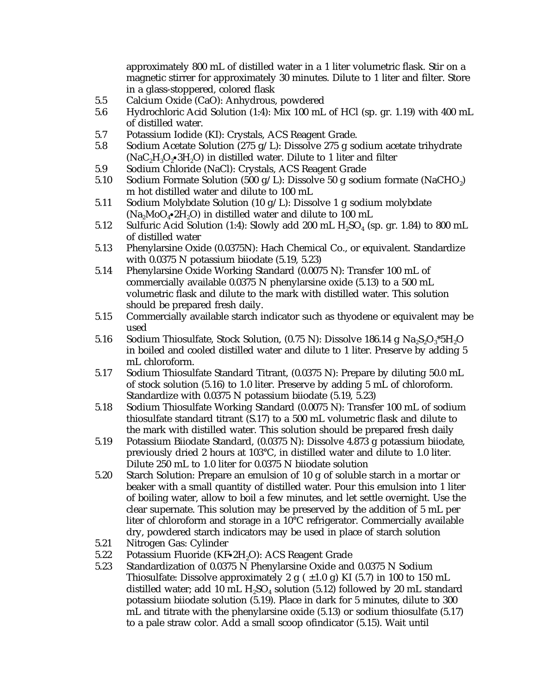approximately 800 mL of distilled water in a 1 liter volumetric flask. Stir on a magnetic stirrer for approximately 30 minutes. Dilute to 1 liter and filter. Store in a glass-stoppered, colored flask

- 5.5 Calcium Oxide (CaO): Anhydrous, powdered
- 5.6 Hydrochloric Acid Solution (1:4): Mix 100 mL of HCl (sp. gr. 1.19) with 400 mL of distilled water.
- 5.7 Potassium Iodide (KI): Crystals, ACS Reagent Grade.
- 5.8 Sodium Acetate Solution (275 g/L): Dissolve 275 g sodium acetate trihydrate (NaC<sub>2</sub>H<sub>3</sub>O<sub>2</sub> $\cdot$ 3H<sub>2</sub>O) in distilled water. Dilute to 1 liter and filter
- 5.9 Sodium Chloride (NaCl): Crystals, ACS Reagent Grade
- 5.10 Sodium Formate Solution (500 g/L): Dissolve 50 g sodium formate (NaCHO<sub>2</sub>) m hot distilled water and dilute to 100 mL
- 5.11 Sodium Molybdate Solution (10 g/L): Dissolve 1 g sodium molybdate  $(Na_2 MoO_4 \cdot 2H_2O)$  in distilled water and dilute to 100 mL
- 5.12 Sulfuric Acid Solution (1:4): Slowly add 200 mL  $H_2SO_4$  (sp. gr. 1.84) to 800 mL of distilled water
- 5.13 Phenylarsine Oxide (0.0375N): Hach Chemical Co., or equivalent. Standardize with 0.0375 N potassium biiodate (5.19, 5.23)
- 5.14 Phenylarsine Oxide Working Standard (0.0075 N): Transfer 100 mL of commercially available 0.0375 N phenylarsine oxide (5.13) to a 500 mL volumetric flask and dilute to the mark with distilled water. This solution should be prepared fresh daily.
- 5.15 Commercially available starch indicator such as thyodene or equivalent may be used
- 5.16 Sodium Thiosulfate, Stock Solution,  $(0.75 \text{ N})$ : Dissolve 186.14 g Na, S, O, \*5H, O in boiled and cooled distilled water and dilute to 1 liter. Preserve by adding 5 mL chloroform.
- 5.17 Sodium Thiosulfate Standard Titrant, (0.0375 N): Prepare by diluting 50.0 mL of stock solution (5.16) to 1.0 liter. Preserve by adding 5 mL of chloroform. Standardize with 0.0375 N potassium biiodate (5.19, 5.23)
- 5.18 Sodium Thiosulfate Working Standard (0.0075 N): Transfer 100 mL of sodium thiosulfate standard titrant (S.17) to a 500 mL volumetric flask and dilute to the mark with distilled water. This solution should be prepared fresh daily
- 5.19 Potassium Biiodate Standard, (0.0375 N): Dissolve 4.873 g potassium biiodate, previously dried 2 hours at 103°C, in distilled water and dilute to 1.0 liter. Dilute 250 mL to 1.0 liter for 0.0375 N biiodate solution
- 5.20 Starch Solution: Prepare an emulsion of 10 g of soluble starch in a mortar or beaker with a small quantity of distilled water. Pour this emulsion into 1 liter of boiling water, allow to boil a few minutes, and let settle overnight. Use the clear supernate. This solution may be preserved by the addition of 5 mL per liter of chloroform and storage in a 10°C refrigerator. Commercially available dry, powdered starch indicators may be used in place of starch solution
- 5.21 Nitrogen Gas: Cylinder
- 5.22 Potassium Fluoride (KF $\cdot$ 2H<sub>2</sub>O): ACS Reagent Grade 5.23 Standardization of 0.0375 N Phenylarsine Oxide and
- Standardization of 0.0375 N Phenylarsine Oxide and 0.0375 N Sodium Thiosulfate: Dissolve approximately 2 g  $( \pm 1.0 \text{ g})$  KI (5.7) in 100 to 150 mL distilled water; add 10 mL  $H<sub>s</sub>SO<sub>4</sub>$  solution (5.12) followed by 20 mL standard potassium biiodate solution (5.19). Place in dark for 5 minutes, dilute to 300 mL and titrate with the phenylarsine oxide (5.13) or sodium thiosulfate (5.17) to a pale straw color. Add a small scoop ofindicator (5.15). Wait until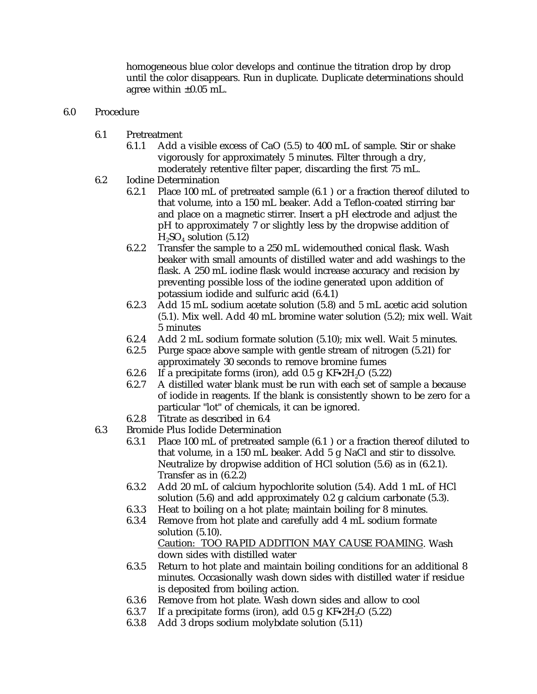homogeneous blue color develops and continue the titration drop by drop until the color disappears. Run in duplicate. Duplicate determinations should agree within  $\pm 0.05$  mL.

- 6.0 Procedure
	- 6.1 Pretreatment
		- 6.1.1 Add a visible excess of CaO (5.5) to 400 mL of sample. Stir or shake vigorously for approximately 5 minutes. Filter through a dry, moderately retentive filter paper, discarding the first 75 mL.
	- 6.2 Iodine Determination
		- 6.2.1 Place 100 mL of pretreated sample (6.1 ) or a fraction thereof diluted to that volume, into a 150 mL beaker. Add a Teflon-coated stirring bar and place on a magnetic stirrer. Insert a pH electrode and adjust the pH to approximately 7 or slightly less by the dropwise addition of  $H<sub>2</sub>SO<sub>4</sub>$  solution (5.12)
		- 6.2.2 Transfer the sample to a 250 mL widemouthed conical flask. Wash beaker with small amounts of distilled water and add washings to the flask. A 250 mL iodine flask would increase accuracy and recision by preventing possible loss of the iodine generated upon addition of potassium iodide and sulfuric acid (6.4.1)
		- 6.2.3 Add 15 mL sodium acetate solution (5.8) and 5 mL acetic acid solution (5.1). Mix well. Add 40 mL bromine water solution (5.2); mix well. Wait 5 minutes
		- 6.2.4 Add 2 mL sodium formate solution (5.10); mix well. Wait 5 minutes.
		- 6.2.5 Purge space above sample with gentle stream of nitrogen (5.21) for approximately 30 seconds to remove bromine fumes
		- 6.2.6 If a precipitate forms (iron), add 0.5 g  $KF•2H<sub>2</sub>O$  (5.22) 6.2.7 A distilled water blank must be run with each set of s
		- A distilled water blank must be run with each set of sample a because of iodide in reagents. If the blank is consistently shown to be zero for a particular "lot" of chemicals, it can be ignored.
		- 6.2.8 Titrate as described in 6.4
	- 6.3 Bromide Plus Iodide Determination
		- 6.3.1 Place 100 mL of pretreated sample (6.1 ) or a fraction thereof diluted to that volume, in a 150 mL beaker. Add 5 g NaCl and stir to dissolve. Neutralize by dropwise addition of HCl solution (5.6) as in (6.2.1). Transfer as in (6.2.2)
		- 6.3.2 Add 20 mL of calcium hypochlorite solution (5.4). Add 1 mL of HCl solution (5.6) and add approximately 0.2 g calcium carbonate (5.3).
		- 6.3.3 Heat to boiling on a hot plate; maintain boiling for 8 minutes.
		- 6.3.4 Remove from hot plate and carefully add 4 mL sodium formate solution (5.10). Caution: TOO RAPID ADDITION MAY CAUSE FOAMING. Wash

down sides with distilled water

- 6.3.5 Return to hot plate and maintain boiling conditions for an additional 8 minutes. Occasionally wash down sides with distilled water if residue is deposited from boiling action.
- 6.3.6 Remove from hot plate. Wash down sides and allow to cool
- 6.3.7 If a precipitate forms (iron), add 0.5 g  $KF•2H<sub>2</sub>O$  (5.22) 6.3.8 Add 3 drops sodium molybdate solution (5.11)
- Add 3 drops sodium molybdate solution (5.11)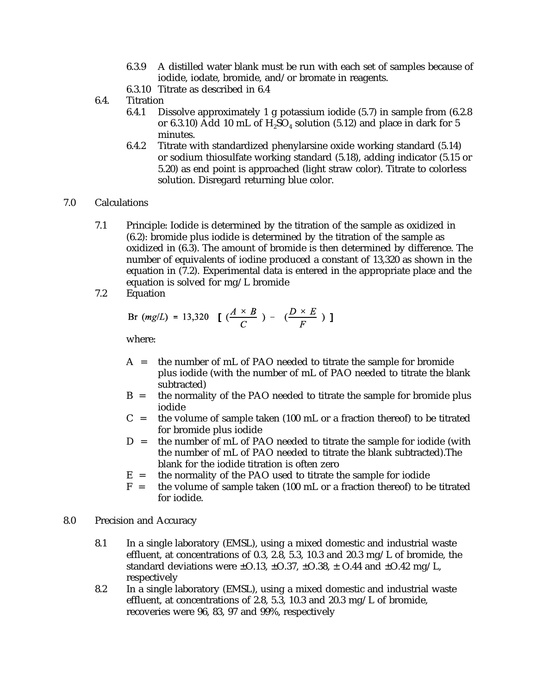- 6.3.9 A distilled water blank must be run with each set of samples because of iodide, iodate, bromide, and/or bromate in reagents.
- 6.3.10 Titrate as described in 6.4
- 6.4. Titration
	- 6.4.1 Dissolve approximately 1 g potassium iodide (5.7) in sample from (6.2.8 or 6.3.10) Add 10 mL of  $H_2SO_4$  solution (5.12) and place in dark for 5 minutes.
	- 6.4.2 Titrate with standardized phenylarsine oxide working standard (5.14) or sodium thiosulfate working standard (5.18), adding indicator (5.15 or 5.20) as end point is approached (light straw color). Titrate to colorless solution. Disregard returning blue color.

## 7.0 Calculations

- 7.1 Principle: Iodide is determined by the titration of the sample as oxidized in (6.2): bromide plus iodide is determined by the titration of the sample as oxidized in (6.3). The amount of bromide is then determined by difference. The number of equivalents of iodine produced a constant of 13,320 as shown in the equation in (7.2). Experimental data is entered in the appropriate place and the equation is solved for mg/L bromide
- 7.2 Equation

Br 
$$
(mg/L) = 13,320 \left[ \left( \frac{A \times B}{C} \right) - \left( \frac{D \times E}{F} \right) \right]
$$

where:

- A = the number of mL of PAO needed to titrate the sample for bromide plus iodide (with the number of mL of PAO needed to titrate the blank subtracted)
- B = the normality of the PAO needed to titrate the sample for bromide plus iodide
- $C =$  the volume of sample taken (100 mL or a fraction thereof) to be titrated for bromide plus iodide
- D = the number of mL of PAO needed to titrate the sample for iodide (with the number of mL of PAO needed to titrate the blank subtracted).The blank for the iodide titration is often zero
- $E$  = the normality of the PAO used to titrate the sample for iodide  $F$  = the volume of sample taken (100 mL or a fraction thereof) to b
- the volume of sample taken (100 mL or a fraction thereof) to be titrated for iodide.
- 8.0 Precision and Accuracy
	- 8.1 In a single laboratory (EMSL), using a mixed domestic and industrial waste effluent, at concentrations of 0.3, 2.8, 5.3, 10.3 and 20.3 mg/L of bromide, the standard deviations were  $\pm$  0.13,  $\pm$  0.37,  $\pm$  0.38,  $\pm$  0.44 and  $\pm$  0.42 mg/L, respectively
	- 8.2 In a single laboratory (EMSL), using a mixed domestic and industrial waste effluent, at concentrations of 2.8, 5.3, 10.3 and 20.3 mg/L of bromide, recoveries were 96, 83, 97 and 99%, respectively